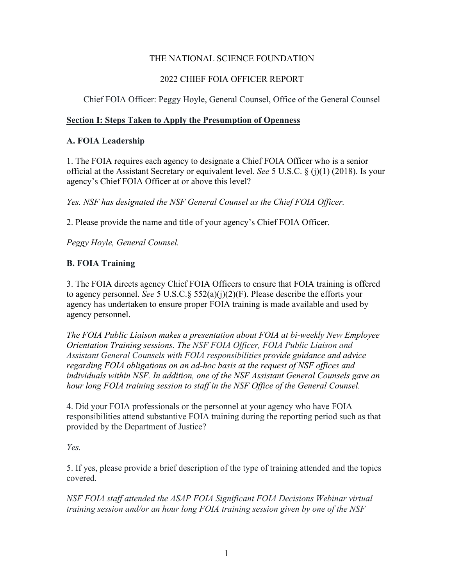#### THE NATIONAL SCIENCE FOUNDATION

### 2022 CHIEF FOIA OFFICER REPORT

#### Chief FOIA Officer: Peggy Hoyle, General Counsel, Office of the General Counsel

#### **Section I: Steps Taken to Apply the Presumption of Openness**

#### **A. FOIA Leadership**

1. The FOIA requires each agency to designate a Chief FOIA Officer who is a senior official at the Assistant Secretary or equivalent level. *See* 5 U.S.C. § (j)(1) (2018). Is your agency's Chief FOIA Officer at or above this level?

*Yes. NSF has designated the NSF General Counsel as the Chief FOIA Officer.* 

2. Please provide the name and title of your agency's Chief FOIA Officer.

*Peggy Hoyle, General Counsel.*

#### **B. FOIA Training**

3. The FOIA directs agency Chief FOIA Officers to ensure that FOIA training is offered to agency personnel. *See* 5 U.S.C.§ 552(a)(j)(2)(F). Please describe the efforts your agency has undertaken to ensure proper FOIA training is made available and used by agency personnel.

*The FOIA Public Liaison makes a presentation about FOIA at bi-weekly New Employee Orientation Training sessions. The NSF FOIA Officer, FOIA Public Liaison and Assistant General Counsels with FOIA responsibilities provide guidance and advice regarding FOIA obligations on an ad-hoc basis at the request of NSF offices and individuals within NSF. In addition, one of the NSF Assistant General Counsels gave an hour long FOIA training session to staff in the NSF Office of the General Counsel.* 

4. Did your FOIA professionals or the personnel at your agency who have FOIA responsibilities attend substantive FOIA training during the reporting period such as that provided by the Department of Justice?

*Yes.* 

5. If yes, please provide a brief description of the type of training attended and the topics covered.

*NSF FOIA staff attended the ASAP FOIA Significant FOIA Decisions Webinar virtual training session and/or an hour long FOIA training session given by one of the NSF*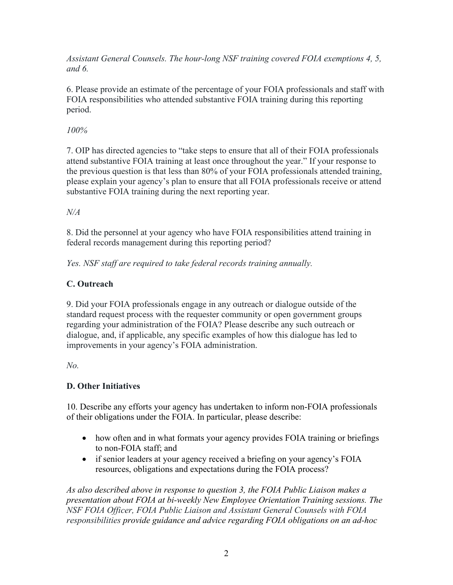*Assistant General Counsels. The hour-long NSF training covered FOIA exemptions 4, 5, and 6.* 

6. Please provide an estimate of the percentage of your FOIA professionals and staff with FOIA responsibilities who attended substantive FOIA training during this reporting period.

## *100%*

7. OIP has directed agencies to "take steps to ensure that all of their FOIA professionals attend substantive FOIA training at least once throughout the year." If your response to the previous question is that less than 80% of your FOIA professionals attended training, please explain your agency's plan to ensure that all FOIA professionals receive or attend substantive FOIA training during the next reporting year.

## *N/A*

8. Did the personnel at your agency who have FOIA responsibilities attend training in federal records management during this reporting period?

*Yes. NSF staff are required to take federal records training annually.* 

# **C. Outreach**

9. Did your FOIA professionals engage in any outreach or dialogue outside of the standard request process with the requester community or open government groups regarding your administration of the FOIA? Please describe any such outreach or dialogue, and, if applicable, any specific examples of how this dialogue has led to improvements in your agency's FOIA administration.

*No.*

# **D. Other Initiatives**

10. Describe any efforts your agency has undertaken to inform non-FOIA professionals of their obligations under the FOIA. In particular, please describe:

- how often and in what formats your agency provides FOIA training or briefings to non-FOIA staff; and
- if senior leaders at your agency received a briefing on your agency's FOIA resources, obligations and expectations during the FOIA process?

*As also described above in response to question 3, the FOIA Public Liaison makes a presentation about FOIA at bi-weekly New Employee Orientation Training sessions. The NSF FOIA Officer, FOIA Public Liaison and Assistant General Counsels with FOIA responsibilities provide guidance and advice regarding FOIA obligations on an ad-hoc*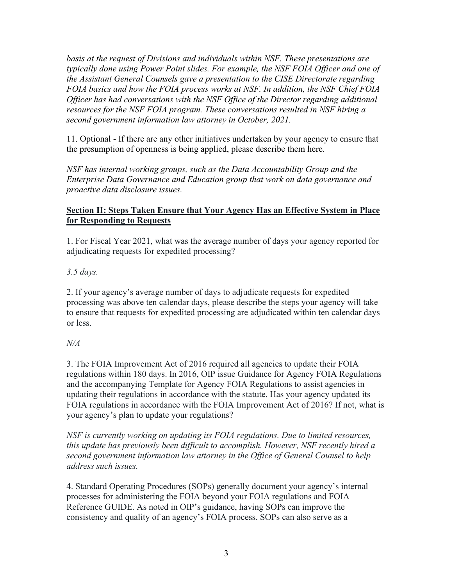*basis at the request of Divisions and individuals within NSF. These presentations are typically done using Power Point slides. For example, the NSF FOIA Officer and one of the Assistant General Counsels gave a presentation to the CISE Directorate regarding FOIA basics and how the FOIA process works at NSF. In addition, the NSF Chief FOIA Officer has had conversations with the NSF Office of the Director regarding additional resources for the NSF FOIA program. These conversations resulted in NSF hiring a second government information law attorney in October, 2021.* 

11. Optional - If there are any other initiatives undertaken by your agency to ensure that the presumption of openness is being applied, please describe them here.

*NSF has internal working groups, such as the Data Accountability Group and the Enterprise Data Governance and Education group that work on data governance and proactive data disclosure issues.* 

#### **Section II: Steps Taken Ensure that Your Agency Has an Effective System in Place for Responding to Requests**

1. For Fiscal Year 2021, what was the average number of days your agency reported for adjudicating requests for expedited processing?

*3.5 days.* 

2. If your agency's average number of days to adjudicate requests for expedited processing was above ten calendar days, please describe the steps your agency will take to ensure that requests for expedited processing are adjudicated within ten calendar days or less.

#### *N/A*

3. The FOIA Improvement Act of 2016 required all agencies to update their FOIA regulations within 180 days. In 2016, OIP issue Guidance for Agency FOIA Regulations and the accompanying Template for Agency FOIA Regulations to assist agencies in updating their regulations in accordance with the statute. Has your agency updated its FOIA regulations in accordance with the FOIA Improvement Act of 2016? If not, what is your agency's plan to update your regulations?

*NSF is currently working on updating its FOIA regulations. Due to limited resources, this update has previously been difficult to accomplish. However, NSF recently hired a second government information law attorney in the Office of General Counsel to help address such issues.* 

4. Standard Operating Procedures (SOPs) generally document your agency's internal processes for administering the FOIA beyond your FOIA regulations and FOIA Reference GUIDE. As noted in OIP's guidance, having SOPs can improve the consistency and quality of an agency's FOIA process. SOPs can also serve as a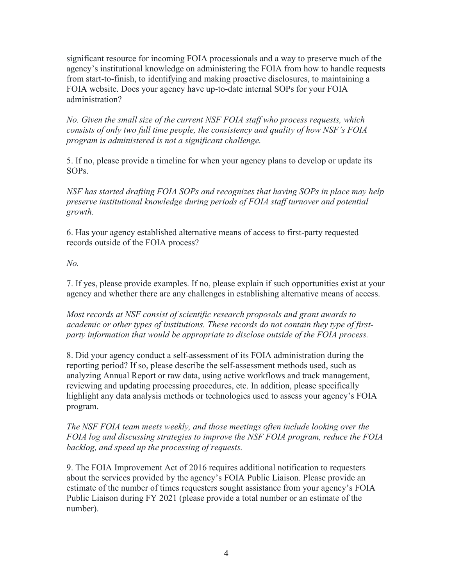significant resource for incoming FOIA processionals and a way to preserve much of the agency's institutional knowledge on administering the FOIA from how to handle requests from start-to-finish, to identifying and making proactive disclosures, to maintaining a FOIA website. Does your agency have up-to-date internal SOPs for your FOIA administration?

*No. Given the small size of the current NSF FOIA staff who process requests, which consists of only two full time people, the consistency and quality of how NSF's FOIA program is administered is not a significant challenge.* 

5. If no, please provide a timeline for when your agency plans to develop or update its SOPs.

*NSF has started drafting FOIA SOPs and recognizes that having SOPs in place may help preserve institutional knowledge during periods of FOIA staff turnover and potential growth.* 

6. Has your agency established alternative means of access to first-party requested records outside of the FOIA process?

*No.* 

7. If yes, please provide examples. If no, please explain if such opportunities exist at your agency and whether there are any challenges in establishing alternative means of access.

*Most records at NSF consist of scientific research proposals and grant awards to academic or other types of institutions. These records do not contain they type of firstparty information that would be appropriate to disclose outside of the FOIA process.* 

8. Did your agency conduct a self-assessment of its FOIA administration during the reporting period? If so, please describe the self-assessment methods used, such as analyzing Annual Report or raw data, using active workflows and track management, reviewing and updating processing procedures, etc. In addition, please specifically highlight any data analysis methods or technologies used to assess your agency's FOIA program.

*The NSF FOIA team meets weekly, and those meetings often include looking over the FOIA log and discussing strategies to improve the NSF FOIA program, reduce the FOIA backlog, and speed up the processing of requests.* 

9. The FOIA Improvement Act of 2016 requires additional notification to requesters about the services provided by the agency's FOIA Public Liaison. Please provide an estimate of the number of times requesters sought assistance from your agency's FOIA Public Liaison during FY 2021 (please provide a total number or an estimate of the number).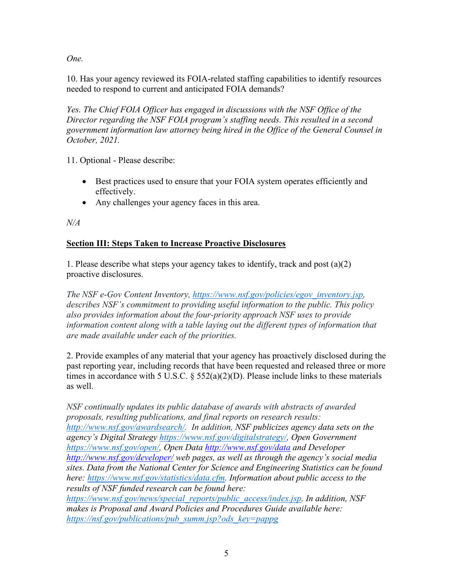*One.* 

10. Has your agency reviewed its FOIA-related staffing capabilities to identify resources needed to respond to current and anticipated FOIA demands?

*Yes. The Chief FOIA Officer has engaged in discussions with the NSF Office of the Director regarding the NSF FOIA program's staffing needs. This resulted in a second government information law attorney being hired in the Office of the General Counsel in October, 2021.* 

11. Optional - Please describe:

- Best practices used to ensure that your FOIA system operates efficiently and effectively.
- Any challenges your agency faces in this area.

*N/A*

## **Section III: Steps Taken to Increase Proactive Disclosures**

1. Please describe what steps your agency takes to identify, track and post (a)(2) proactive disclosures.

*The NSF e-Gov Content Inventory, [https://www.nsf.gov/policies/egov\\_inventory.jsp,](https://www.nsf.gov/policies/egov_inventory.jsp) describes NSF's commitment to providing useful information to the public. This policy also provides information about the four-priority approach NSF uses to provide information content along with a table laying out the different types of information that are made available under each of the priorities.* 

2. Provide examples of any material that your agency has proactively disclosed during the past reporting year, including records that have been requested and released three or more times in accordance with 5 U.S.C.  $\S 552(a)(2)(D)$ . Please include links to these materials as well.

*NSF continually updates its public database of awards with abstracts of awarded proposals, resulting publications, and final reports on research results: [http://www.nsf.gov/awardsearch/.](http://www.nsf.gov/awardsearch/) In addition, NSF publicizes agency data sets on the agency's Digital Strategy [https://www.nsf.gov/digitalstrategy/,](https://www.nsf.gov/digitalstrategy/) Open Government [https://www.nsf.gov/open/,](https://www.nsf.gov/open/) Open Data http://www.nsf.gov/data and Developer http://www.nsf.gov/developer/ web pages, as well as through the agency's social media sites. Data from the National Center for Science and Engineering Statistics can be found here: [https://www.nsf.gov/statistics/data.cfm.](https://www.nsf.gov/statistics/data.cfm) Information about public access to the results of NSF funded research can be found here:* 

*[https://www.nsf.gov/news/special\\_reports/public\\_access/index.jsp.](https://www.nsf.gov/news/special_reports/public_access/index.jsp) In addition, NSF makes is Proposal and Award Policies and Procedures Guide available here: [https://nsf.gov/publications/pub\\_summ.jsp?ods\\_key=pappg](https://nsf.gov/publications/pub_summ.jsp?ods_key=pappg)*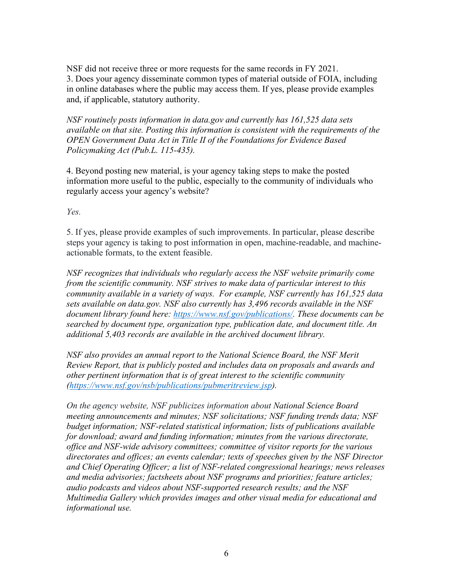NSF did not receive three or more requests for the same records in FY 2021. 3. Does your agency disseminate common types of material outside of FOIA, including in online databases where the public may access them. If yes, please provide examples and, if applicable, statutory authority.

*NSF routinely posts information in data.gov and currently has 161,525 data sets available on that site. Posting this information is consistent with the requirements of the OPEN Government Data Act in Title II of the Foundations for Evidence Based Policymaking Act (Pub.L. 115-435).* 

4. Beyond posting new material, is your agency taking steps to make the posted information more useful to the public, especially to the community of individuals who regularly access your agency's website?

*Yes.* 

5. If yes, please provide examples of such improvements. In particular, please describe steps your agency is taking to post information in open, machine-readable, and machineactionable formats, to the extent feasible.

*NSF recognizes that individuals who regularly access the NSF website primarily come from the scientific community. NSF strives to make data of particular interest to this community available in a variety of ways. For example, NSF currently has 161,525 data sets available on data.gov. NSF also currently has 3,496 records available in the NSF document library found here: [https://www.nsf.gov/publications/.](https://www.nsf.gov/publications/) These documents can be searched by document type, organization type, publication date, and document title. An additional 5,403 records are available in the archived document library.* 

*NSF also provides an annual report to the National Science Board, the NSF Merit Review Report, that is publicly posted and includes data on proposals and awards and other pertinent information that is of great interest to the scientific community [\(https://www.nsf.gov/nsb/publications/pubmeritreview.jsp\)](https://www.nsf.gov/nsb/publications/pubmeritreview.jsp).* 

*On the agency website, NSF publicizes information about National Science Board meeting announcements and minutes; NSF solicitations; NSF funding trends data; NSF budget information; NSF-related statistical information; lists of publications available for download; award and funding information; minutes from the various directorate, office and NSF‐wide advisory committees; committee of visitor reports for the various directorates and offices; an events calendar; texts of speeches given by the NSF Director and Chief Operating Officer; a list of NSF‐related congressional hearings; news releases and media advisories; factsheets about NSF programs and priorities; feature articles; audio podcasts and videos about NSF‐supported research results; and the NSF Multimedia Gallery which provides images and other visual media for educational and informational use.*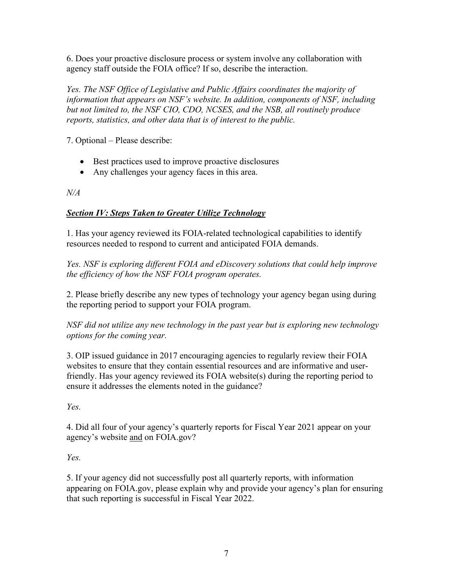6. Does your proactive disclosure process or system involve any collaboration with agency staff outside the FOIA office? If so, describe the interaction.

*Yes. The NSF Office of Legislative and Public Affairs coordinates the majority of information that appears on NSF's website. In addition, components of NSF, including but not limited to, the NSF CIO, CDO, NCSES, and the NSB, all routinely produce reports, statistics, and other data that is of interest to the public.* 

7. Optional – Please describe:

- Best practices used to improve proactive disclosures
- Any challenges your agency faces in this area.

*N/A*

### *Section IV: Steps Taken to Greater Utilize Technology*

1. Has your agency reviewed its FOIA-related technological capabilities to identify resources needed to respond to current and anticipated FOIA demands.

*Yes. NSF is exploring different FOIA and eDiscovery solutions that could help improve the efficiency of how the NSF FOIA program operates.* 

2. Please briefly describe any new types of technology your agency began using during the reporting period to support your FOIA program.

*NSF did not utilize any new technology in the past year but is exploring new technology options for the coming year.* 

3. OIP issued guidance in 2017 encouraging agencies to regularly review their FOIA websites to ensure that they contain essential resources and are informative and userfriendly. Has your agency reviewed its FOIA website(s) during the reporting period to ensure it addresses the elements noted in the guidance?

*Yes.*

4. Did all four of your agency's quarterly reports for Fiscal Year 2021 appear on your agency's website and on FOIA.gov?

*Yes.* 

5. If your agency did not successfully post all quarterly reports, with information appearing on FOIA.gov, please explain why and provide your agency's plan for ensuring that such reporting is successful in Fiscal Year 2022.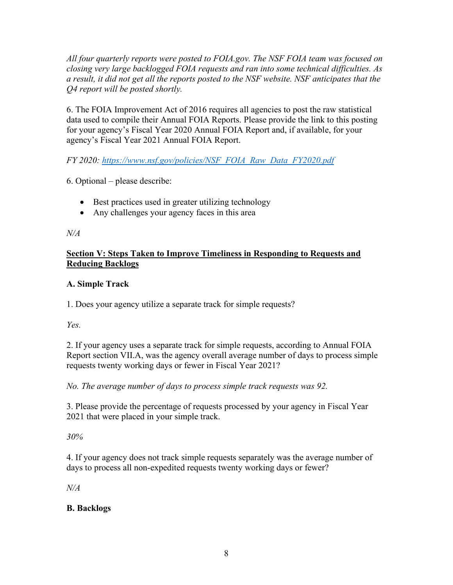*All four quarterly reports were posted to FOIA.gov. The NSF FOIA team was focused on closing very large backlogged FOIA requests and ran into some technical difficulties. As a result, it did not get all the reports posted to the NSF website. NSF anticipates that the Q4 report will be posted shortly.* 

6. The FOIA Improvement Act of 2016 requires all agencies to post the raw statistical data used to compile their Annual FOIA Reports. Please provide the link to this posting for your agency's Fiscal Year 2020 Annual FOIA Report and, if available, for your agency's Fiscal Year 2021 Annual FOIA Report.

*FY 2020: [https://www.nsf.gov/policies/NSF\\_FOIA\\_Raw\\_Data\\_FY2020.pdf](https://www.nsf.gov/policies/NSF_FOIA_Raw_Data_FY2020.pdf)*

6. Optional – please describe:

- Best practices used in greater utilizing technology
- Any challenges your agency faces in this area

#### *N/A*

#### **Section V: Steps Taken to Improve Timeliness in Responding to Requests and Reducing Backlogs**

#### **A. Simple Track**

1. Does your agency utilize a separate track for simple requests?

*Yes.* 

2. If your agency uses a separate track for simple requests, according to Annual FOIA Report section VII.A, was the agency overall average number of days to process simple requests twenty working days or fewer in Fiscal Year 2021?

*No. The average number of days to process simple track requests was 92.* 

3. Please provide the percentage of requests processed by your agency in Fiscal Year 2021 that were placed in your simple track.

*30%* 

4. If your agency does not track simple requests separately was the average number of days to process all non-expedited requests twenty working days or fewer?

*N/A*

## **B. Backlogs**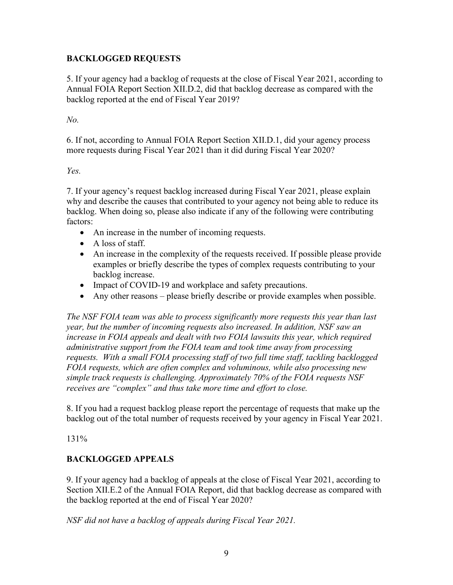### **BACKLOGGED REQUESTS**

5. If your agency had a backlog of requests at the close of Fiscal Year 2021, according to Annual FOIA Report Section XII.D.2, did that backlog decrease as compared with the backlog reported at the end of Fiscal Year 2019?

*No.* 

6. If not, according to Annual FOIA Report Section XII.D.1, did your agency process more requests during Fiscal Year 2021 than it did during Fiscal Year 2020?

*Yes.* 

7. If your agency's request backlog increased during Fiscal Year 2021, please explain why and describe the causes that contributed to your agency not being able to reduce its backlog. When doing so, please also indicate if any of the following were contributing factors:

- An increase in the number of incoming requests.
- A loss of staff.
- An increase in the complexity of the requests received. If possible please provide examples or briefly describe the types of complex requests contributing to your backlog increase.
- Impact of COVID-19 and workplace and safety precautions.
- Any other reasons please briefly describe or provide examples when possible.

*The NSF FOIA team was able to process significantly more requests this year than last year, but the number of incoming requests also increased. In addition, NSF saw an increase in FOIA appeals and dealt with two FOIA lawsuits this year, which required administrative support from the FOIA team and took time away from processing requests. With a small FOIA processing staff of two full time staff, tackling backlogged FOIA requests, which are often complex and voluminous, while also processing new simple track requests is challenging. Approximately 70% of the FOIA requests NSF receives are "complex" and thus take more time and effort to close.* 

8. If you had a request backlog please report the percentage of requests that make up the backlog out of the total number of requests received by your agency in Fiscal Year 2021.

131%

## **BACKLOGGED APPEALS**

9. If your agency had a backlog of appeals at the close of Fiscal Year 2021, according to Section XII.E.2 of the Annual FOIA Report, did that backlog decrease as compared with the backlog reported at the end of Fiscal Year 2020?

*NSF did not have a backlog of appeals during Fiscal Year 2021.*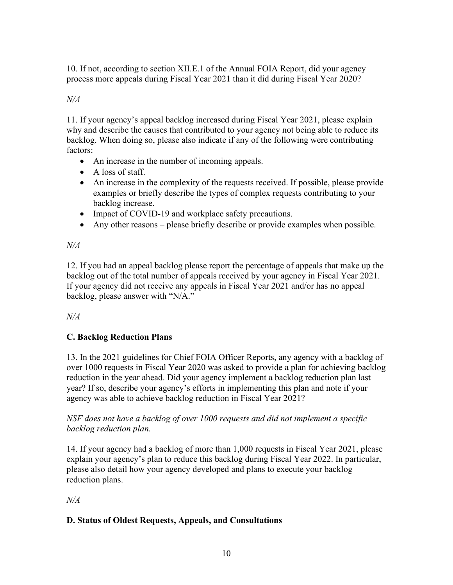10. If not, according to section XII.E.1 of the Annual FOIA Report, did your agency process more appeals during Fiscal Year 2021 than it did during Fiscal Year 2020?

## *N/A*

11. If your agency's appeal backlog increased during Fiscal Year 2021, please explain why and describe the causes that contributed to your agency not being able to reduce its backlog. When doing so, please also indicate if any of the following were contributing factors:

- An increase in the number of incoming appeals.
- A loss of staff.
- An increase in the complexity of the requests received. If possible, please provide examples or briefly describe the types of complex requests contributing to your backlog increase.
- Impact of COVID-19 and workplace safety precautions.
- Any other reasons please briefly describe or provide examples when possible.

# *N/A*

12. If you had an appeal backlog please report the percentage of appeals that make up the backlog out of the total number of appeals received by your agency in Fiscal Year 2021. If your agency did not receive any appeals in Fiscal Year 2021 and/or has no appeal backlog, please answer with "N/A."

*N/A*

# **C. Backlog Reduction Plans**

13. In the 2021 guidelines for Chief FOIA Officer Reports, any agency with a backlog of over 1000 requests in Fiscal Year 2020 was asked to provide a plan for achieving backlog reduction in the year ahead. Did your agency implement a backlog reduction plan last year? If so, describe your agency's efforts in implementing this plan and note if your agency was able to achieve backlog reduction in Fiscal Year 2021?

### *NSF does not have a backlog of over 1000 requests and did not implement a specific backlog reduction plan.*

14. If your agency had a backlog of more than 1,000 requests in Fiscal Year 2021, please explain your agency's plan to reduce this backlog during Fiscal Year 2022. In particular, please also detail how your agency developed and plans to execute your backlog reduction plans.

# *N/A*

## **D. Status of Oldest Requests, Appeals, and Consultations**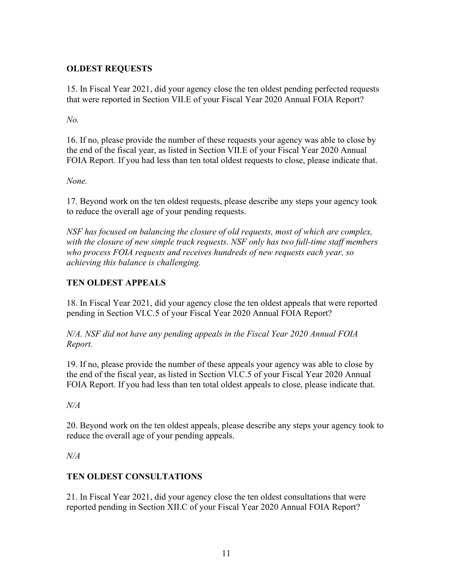### **OLDEST REQUESTS**

15. In Fiscal Year 2021, did your agency close the ten oldest pending perfected requests that were reported in Section VII.E of your Fiscal Year 2020 Annual FOIA Report?

*No.* 

16. If no, please provide the number of these requests your agency was able to close by the end of the fiscal year, as listed in Section VII.E of your Fiscal Year 2020 Annual FOIA Report. If you had less than ten total oldest requests to close, please indicate that.

*None.* 

17. Beyond work on the ten oldest requests, please describe any steps your agency took to reduce the overall age of your pending requests.

*NSF has focused on balancing the closure of old requests, most of which are complex, with the closure of new simple track requests. NSF only has two full-time staff members who process FOIA requests and receives hundreds of new requests each year, so achieving this balance is challenging.* 

## **TEN OLDEST APPEALS**

18. In Fiscal Year 2021, did your agency close the ten oldest appeals that were reported pending in Section VI.C.5 of your Fiscal Year 2020 Annual FOIA Report?

*N/A. NSF did not have any pending appeals in the Fiscal Year 2020 Annual FOIA Report.* 

19. If no, please provide the number of these appeals your agency was able to close by the end of the fiscal year, as listed in Section VI.C.5 of your Fiscal Year 2020 Annual FOIA Report. If you had less than ten total oldest appeals to close, please indicate that.

*N/A*

20. Beyond work on the ten oldest appeals, please describe any steps your agency took to reduce the overall age of your pending appeals.

*N/A*

## **TEN OLDEST CONSULTATIONS**

21. In Fiscal Year 2021, did your agency close the ten oldest consultations that were reported pending in Section XII.C of your Fiscal Year 2020 Annual FOIA Report?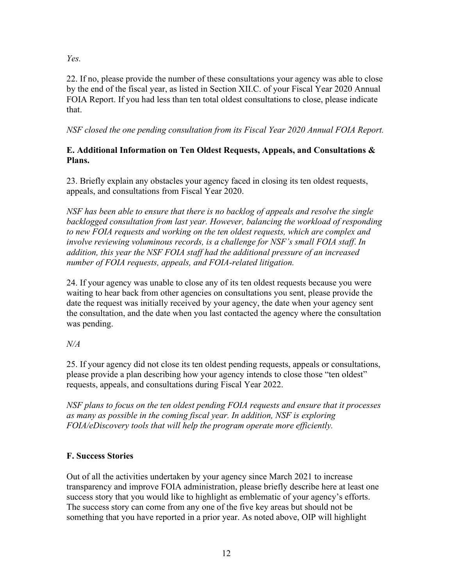*Yes.* 

22. If no, please provide the number of these consultations your agency was able to close by the end of the fiscal year, as listed in Section XII.C. of your Fiscal Year 2020 Annual FOIA Report. If you had less than ten total oldest consultations to close, please indicate that.

*NSF closed the one pending consultation from its Fiscal Year 2020 Annual FOIA Report.* 

### **E. Additional Information on Ten Oldest Requests, Appeals, and Consultations & Plans.**

23. Briefly explain any obstacles your agency faced in closing its ten oldest requests, appeals, and consultations from Fiscal Year 2020.

*NSF has been able to ensure that there is no backlog of appeals and resolve the single backlogged consultation from last year. However, balancing the workload of responding to new FOIA requests and working on the ten oldest requests, which are complex and involve reviewing voluminous records, is a challenge for NSF's small FOIA staff*. *In addition, this year the NSF FOIA staff had the additional pressure of an increased number of FOIA requests, appeals, and FOIA-related litigation.* 

24. If your agency was unable to close any of its ten oldest requests because you were waiting to hear back from other agencies on consultations you sent, please provide the date the request was initially received by your agency, the date when your agency sent the consultation, and the date when you last contacted the agency where the consultation was pending.

# *N/A*

25. If your agency did not close its ten oldest pending requests, appeals or consultations, please provide a plan describing how your agency intends to close those "ten oldest" requests, appeals, and consultations during Fiscal Year 2022.

*NSF plans to focus on the ten oldest pending FOIA requests and ensure that it processes as many as possible in the coming fiscal year. In addition, NSF is exploring FOIA/eDiscovery tools that will help the program operate more efficiently.* 

# **F. Success Stories**

Out of all the activities undertaken by your agency since March 2021 to increase transparency and improve FOIA administration, please briefly describe here at least one success story that you would like to highlight as emblematic of your agency's efforts. The success story can come from any one of the five key areas but should not be something that you have reported in a prior year. As noted above, OIP will highlight